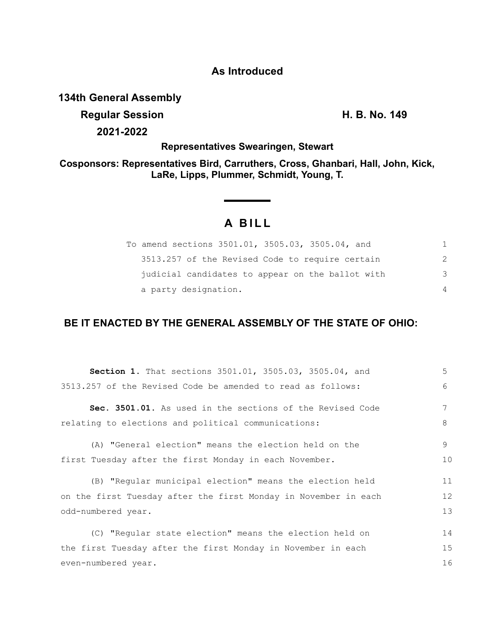## **As Introduced**

## **134th General Assembly**

**Regular Session H. B. No. 149 2021-2022**

**Representatives Swearingen, Stewart**

**Cosponsors: Representatives Bird, Carruthers, Cross, Ghanbari, Hall, John, Kick, LaRe, Lipps, Plummer, Schmidt, Young, T.**

# **A BILL**

| To amend sections 3501.01, 3505.03, 3505.04, and |                |
|--------------------------------------------------|----------------|
| 3513.257 of the Revised Code to require certain  | 2              |
| judicial candidates to appear on the ballot with | 3              |
| a party designation.                             | $\overline{4}$ |

## **BE IT ENACTED BY THE GENERAL ASSEMBLY OF THE STATE OF OHIO:**

| <b>Section 1.</b> That sections 3501.01, 3505.03, 3505.04, and  | 5  |
|-----------------------------------------------------------------|----|
| 3513.257 of the Revised Code be amended to read as follows:     | 6  |
| Sec. 3501.01. As used in the sections of the Revised Code       | 7  |
| relating to elections and political communications:             | 8  |
| (A) "General election" means the election held on the           | 9  |
| first Tuesday after the first Monday in each November.          | 10 |
| (B) "Regular municipal election" means the election held        | 11 |
| on the first Tuesday after the first Monday in November in each | 12 |
| odd-numbered year.                                              | 13 |
| (C) "Regular state election" means the election held on         | 14 |
| the first Tuesday after the first Monday in November in each    | 15 |
| even-numbered year.                                             | 16 |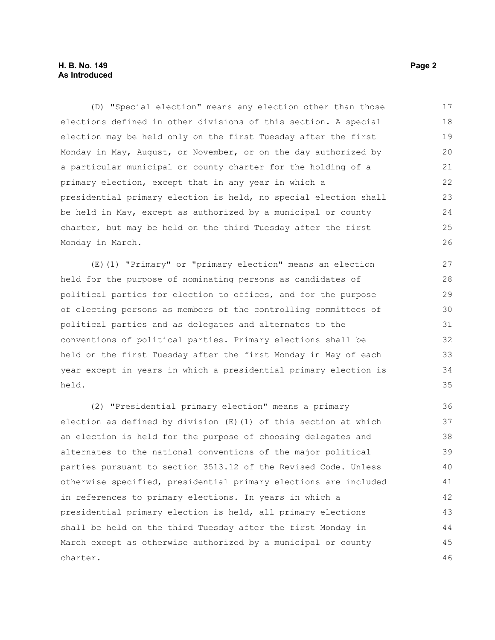#### **H. B. No. 149** Page 2 **As Introduced**

(D) "Special election" means any election other than those elections defined in other divisions of this section. A special election may be held only on the first Tuesday after the first Monday in May, August, or November, or on the day authorized by a particular municipal or county charter for the holding of a primary election, except that in any year in which a presidential primary election is held, no special election shall be held in May, except as authorized by a municipal or county charter, but may be held on the third Tuesday after the first Monday in March. 17 18 19 20 21 22 23 24 25 26

(E)(1) "Primary" or "primary election" means an election held for the purpose of nominating persons as candidates of political parties for election to offices, and for the purpose of electing persons as members of the controlling committees of political parties and as delegates and alternates to the conventions of political parties. Primary elections shall be held on the first Tuesday after the first Monday in May of each year except in years in which a presidential primary election is held.

(2) "Presidential primary election" means a primary election as defined by division (E)(1) of this section at which an election is held for the purpose of choosing delegates and alternates to the national conventions of the major political parties pursuant to section 3513.12 of the Revised Code. Unless otherwise specified, presidential primary elections are included in references to primary elections. In years in which a presidential primary election is held, all primary elections shall be held on the third Tuesday after the first Monday in March except as otherwise authorized by a municipal or county charter. 36 37 38 39 40 41 42 43 44 45 46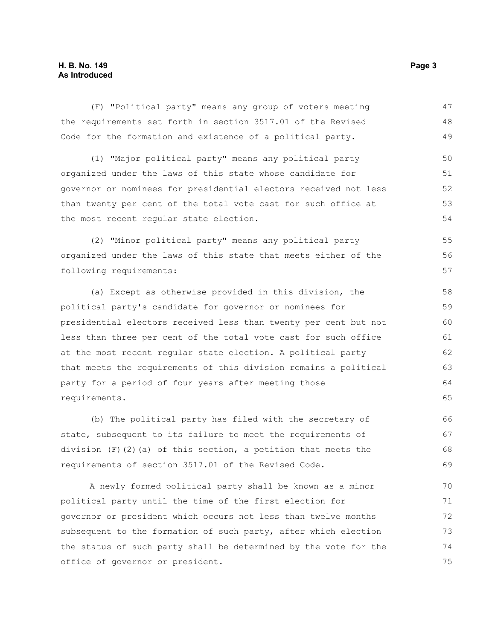#### **H. B. No. 149** Page 3 **As Introduced**

(F) "Political party" means any group of voters meeting the requirements set forth in section 3517.01 of the Revised Code for the formation and existence of a political party. (1) "Major political party" means any political party organized under the laws of this state whose candidate for governor or nominees for presidential electors received not less than twenty per cent of the total vote cast for such office at the most recent regular state election. (2) "Minor political party" means any political party organized under the laws of this state that meets either of the following requirements: (a) Except as otherwise provided in this division, the political party's candidate for governor or nominees for presidential electors received less than twenty per cent but not less than three per cent of the total vote cast for such office at the most recent regular state election. A political party that meets the requirements of this division remains a political party for a period of four years after meeting those requirements. (b) The political party has filed with the secretary of state, subsequent to its failure to meet the requirements of division  $(F)$  (2)(a) of this section, a petition that meets the 47 48 49 50 51 52 53 54 55 56 57 58 59 60 61 62 63 64 65 66 67 68

requirements of section 3517.01 of the Revised Code. A newly formed political party shall be known as a minor political party until the time of the first election for governor or president which occurs not less than twelve months subsequent to the formation of such party, after which election the status of such party shall be determined by the vote for the 69 70 71 72 73 74

office of governor or president.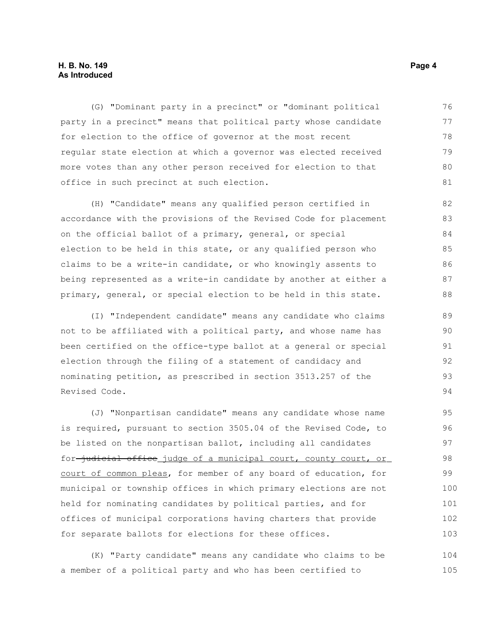#### **H. B. No. 149** Page 4 **As Introduced**

(G) "Dominant party in a precinct" or "dominant political party in a precinct" means that political party whose candidate for election to the office of governor at the most recent regular state election at which a governor was elected received more votes than any other person received for election to that office in such precinct at such election. 76 77 78 79 80 81

(H) "Candidate" means any qualified person certified in accordance with the provisions of the Revised Code for placement on the official ballot of a primary, general, or special election to be held in this state, or any qualified person who claims to be a write-in candidate, or who knowingly assents to being represented as a write-in candidate by another at either a primary, general, or special election to be held in this state. 82 83 84 85 86 87 88

(I) "Independent candidate" means any candidate who claims not to be affiliated with a political party, and whose name has been certified on the office-type ballot at a general or special election through the filing of a statement of candidacy and nominating petition, as prescribed in section 3513.257 of the Revised Code.

(J) "Nonpartisan candidate" means any candidate whose name is required, pursuant to section 3505.04 of the Revised Code, to be listed on the nonpartisan ballot, including all candidates for-judicial office judge of a municipal court, county court, or court of common pleas, for member of any board of education, for municipal or township offices in which primary elections are not held for nominating candidates by political parties, and for offices of municipal corporations having charters that provide for separate ballots for elections for these offices. 100 101 102

(K) "Party candidate" means any candidate who claims to be a member of a political party and who has been certified to 104 105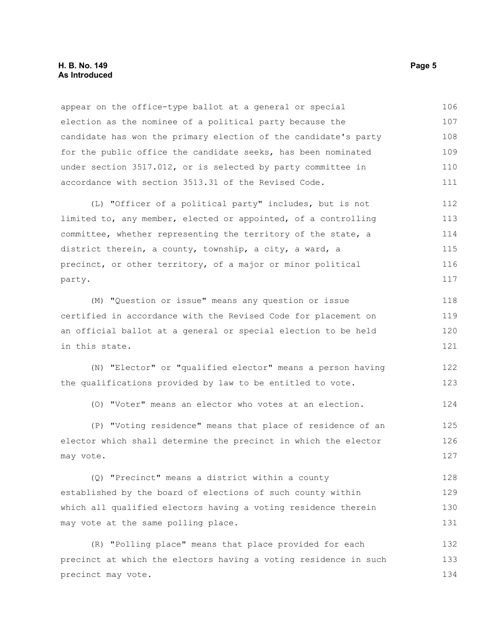#### **H. B. No. 149** Page 5 **As Introduced**

appear on the office-type ballot at a general or special election as the nominee of a political party because the candidate has won the primary election of the candidate's party for the public office the candidate seeks, has been nominated under section 3517.012, or is selected by party committee in accordance with section 3513.31 of the Revised Code. 106 107 108 109 110 111

(L) "Officer of a political party" includes, but is not limited to, any member, elected or appointed, of a controlling committee, whether representing the territory of the state, a district therein, a county, township, a city, a ward, a precinct, or other territory, of a major or minor political party. 112 113 114 115 116 117

(M) "Question or issue" means any question or issue certified in accordance with the Revised Code for placement on an official ballot at a general or special election to be held in this state. 118 119 120 121

(N) "Elector" or "qualified elector" means a person having the qualifications provided by law to be entitled to vote. 122 123

(O) "Voter" means an elector who votes at an election. 124

(P) "Voting residence" means that place of residence of an elector which shall determine the precinct in which the elector may vote. 125 126 127

(Q) "Precinct" means a district within a county established by the board of elections of such county within which all qualified electors having a voting residence therein may vote at the same polling place. 128 129 130 131

(R) "Polling place" means that place provided for each precinct at which the electors having a voting residence in such precinct may vote. 132 133 134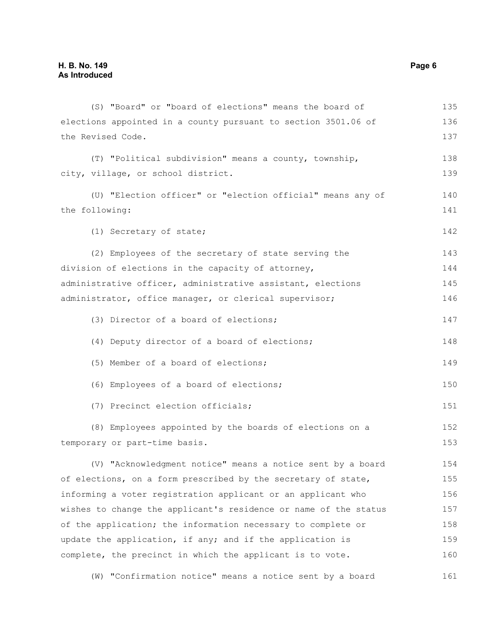| (S) "Board" or "board of elections" means the board of           | 135 |
|------------------------------------------------------------------|-----|
| elections appointed in a county pursuant to section 3501.06 of   | 136 |
| the Revised Code.                                                | 137 |
| (T) "Political subdivision" means a county, township,            | 138 |
| city, village, or school district.                               | 139 |
| (U) "Election officer" or "election official" means any of       | 140 |
| the following:                                                   | 141 |
| (1) Secretary of state;                                          | 142 |
| (2) Employees of the secretary of state serving the              | 143 |
| division of elections in the capacity of attorney,               | 144 |
| administrative officer, administrative assistant, elections      | 145 |
| administrator, office manager, or clerical supervisor;           | 146 |
| (3) Director of a board of elections;                            | 147 |
| (4) Deputy director of a board of elections;                     | 148 |
| (5) Member of a board of elections;                              | 149 |
| (6) Employees of a board of elections;                           | 150 |
| (7) Precinct election officials;                                 | 151 |
| (8) Employees appointed by the boards of elections on a          | 152 |
| temporary or part-time basis.                                    | 153 |
| (V) "Acknowledgment notice" means a notice sent by a board       | 154 |
| of elections, on a form prescribed by the secretary of state,    | 155 |
| informing a voter registration applicant or an applicant who     | 156 |
| wishes to change the applicant's residence or name of the status | 157 |
| of the application; the information necessary to complete or     | 158 |
| update the application, if any; and if the application is        | 159 |
| complete, the precinct in which the applicant is to vote.        | 160 |

(W) "Confirmation notice" means a notice sent by a board 161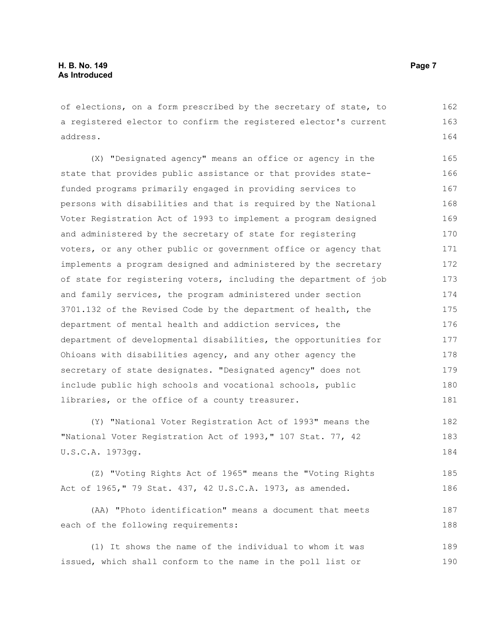of elections, on a form prescribed by the secretary of state, to a registered elector to confirm the registered elector's current address. 162 163 164

(X) "Designated agency" means an office or agency in the state that provides public assistance or that provides statefunded programs primarily engaged in providing services to persons with disabilities and that is required by the National Voter Registration Act of 1993 to implement a program designed and administered by the secretary of state for registering voters, or any other public or government office or agency that implements a program designed and administered by the secretary of state for registering voters, including the department of job and family services, the program administered under section 3701.132 of the Revised Code by the department of health, the department of mental health and addiction services, the department of developmental disabilities, the opportunities for Ohioans with disabilities agency, and any other agency the secretary of state designates. "Designated agency" does not include public high schools and vocational schools, public libraries, or the office of a county treasurer. 165 166 167 168 169 170 171 172 173 174 175 176 177 178 179 180 181

(Y) "National Voter Registration Act of 1993" means the "National Voter Registration Act of 1993," 107 Stat. 77, 42 U.S.C.A. 1973gg. 182 183 184

(Z) "Voting Rights Act of 1965" means the "Voting Rights Act of 1965," 79 Stat. 437, 42 U.S.C.A. 1973, as amended. 185 186

(AA) "Photo identification" means a document that meets each of the following requirements:

(1) It shows the name of the individual to whom it was issued, which shall conform to the name in the poll list or 189 190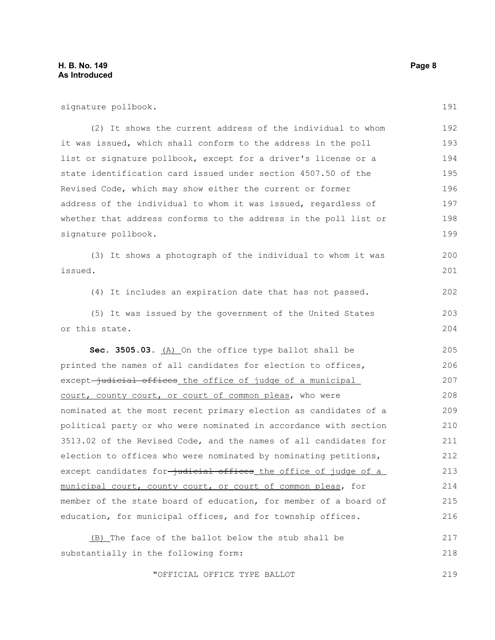| signature pollbook.                                                           | 191 |
|-------------------------------------------------------------------------------|-----|
| (2) It shows the current address of the individual to whom                    | 192 |
| it was issued, which shall conform to the address in the poll                 | 193 |
| list or signature pollbook, except for a driver's license or a                | 194 |
| state identification card issued under section 4507.50 of the                 | 195 |
| Revised Code, which may show either the current or former                     | 196 |
| address of the individual to whom it was issued, regardless of                | 197 |
| whether that address conforms to the address in the poll list or              | 198 |
| signature pollbook.                                                           | 199 |
| (3) It shows a photograph of the individual to whom it was                    | 200 |
| issued.                                                                       | 201 |
| (4) It includes an expiration date that has not passed.                       | 202 |
| (5) It was issued by the government of the United States                      | 203 |
| or this state.                                                                | 204 |
| Sec. 3505.03. (A) On the office type ballot shall be                          | 205 |
| printed the names of all candidates for election to offices,                  | 206 |
| except <del>-judicial offices_the office of judge of a municipal_</del>       | 207 |
| court, county court, or court of common pleas, who were                       | 208 |
| nominated at the most recent primary election as candidates of a              | 209 |
| political party or who were nominated in accordance with section              | 210 |
| 3513.02 of the Revised Code, and the names of all candidates for              | 211 |
| election to offices who were nominated by nominating petitions,               | 212 |
| except candidates for <del>-judicial offices</del> _the_office_of_judge_of_a_ | 213 |
| municipal court, county court, or court of common pleas, for                  | 214 |
| member of the state board of education, for member of a board of              | 215 |
| education, for municipal offices, and for township offices.                   | 216 |
| (B) The face of the ballot below the stub shall be                            | 217 |
| substantially in the following form:                                          | 218 |
| "OFFICIAL OFFICE TYPE BALLOT                                                  | 219 |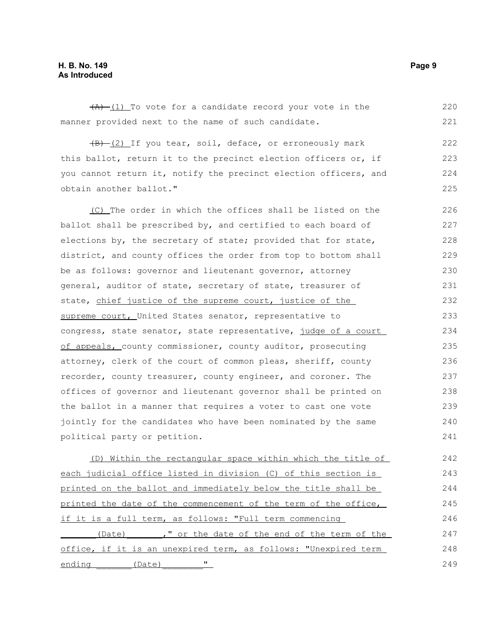#### **H. B. No. 149** Page 9 **As Introduced**

obtain another ballot."

 $\frac{1}{(A)}$  (1) To vote for a candidate record your vote in the manner provided next to the name of such candidate.  $(B)$  (2) If you tear, soil, deface, or erroneously mark this ballot, return it to the precinct election officers or, if 220 221 222 223

you cannot return it, notify the precinct election officers, and

(C) The order in which the offices shall be listed on the ballot shall be prescribed by, and certified to each board of elections by, the secretary of state; provided that for state, district, and county offices the order from top to bottom shall be as follows: governor and lieutenant governor, attorney general, auditor of state, secretary of state, treasurer of state, chief justice of the supreme court, justice of the supreme court, United States senator, representative to congress, state senator, state representative, judge of a court of appeals, county commissioner, county auditor, prosecuting attorney, clerk of the court of common pleas, sheriff, county recorder, county treasurer, county engineer, and coroner. The offices of governor and lieutenant governor shall be printed on the ballot in a manner that requires a voter to cast one vote jointly for the candidates who have been nominated by the same political party or petition. 226 227 228 229 230 231 232 233 234 235 236 237 238 239 240 241

(D) Within the rectangular space within which the title of each judicial office listed in division (C) of this section is printed on the ballot and immediately below the title shall be printed the date of the commencement of the term of the office, if it is a full term, as follows: "Full term commencing (Date) ," or the date of the end of the term of the office, if it is an unexpired term, as follows: "Unexpired term ending (Date) " 242 243 244 245 246 247 248 249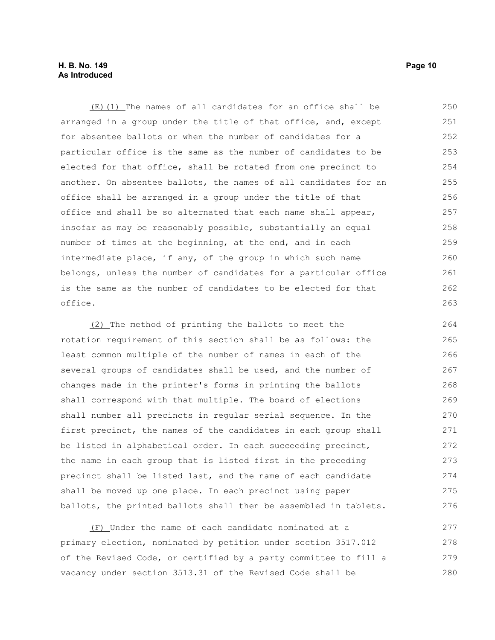#### **H. B. No. 149 Page 10 As Introduced**

(E)(1) The names of all candidates for an office shall be arranged in a group under the title of that office, and, except for absentee ballots or when the number of candidates for a particular office is the same as the number of candidates to be elected for that office, shall be rotated from one precinct to another. On absentee ballots, the names of all candidates for an office shall be arranged in a group under the title of that office and shall be so alternated that each name shall appear, insofar as may be reasonably possible, substantially an equal number of times at the beginning, at the end, and in each intermediate place, if any, of the group in which such name belongs, unless the number of candidates for a particular office is the same as the number of candidates to be elected for that office. 250 251 252 253 254 255 256 257 258 259 260 261 262 263

(2) The method of printing the ballots to meet the rotation requirement of this section shall be as follows: the least common multiple of the number of names in each of the several groups of candidates shall be used, and the number of changes made in the printer's forms in printing the ballots shall correspond with that multiple. The board of elections shall number all precincts in regular serial sequence. In the first precinct, the names of the candidates in each group shall be listed in alphabetical order. In each succeeding precinct, the name in each group that is listed first in the preceding precinct shall be listed last, and the name of each candidate shall be moved up one place. In each precinct using paper ballots, the printed ballots shall then be assembled in tablets. 264 265 266 267 268 269 270 271 272 273 274 275 276

(F) Under the name of each candidate nominated at a primary election, nominated by petition under section 3517.012 of the Revised Code, or certified by a party committee to fill a vacancy under section 3513.31 of the Revised Code shall be 277 278 279 280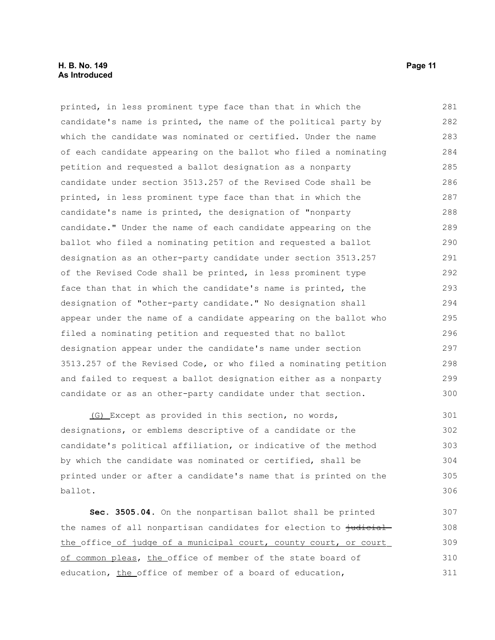#### **H. B. No. 149 Page 11 As Introduced**

printed, in less prominent type face than that in which the candidate's name is printed, the name of the political party by which the candidate was nominated or certified. Under the name of each candidate appearing on the ballot who filed a nominating petition and requested a ballot designation as a nonparty candidate under section 3513.257 of the Revised Code shall be printed, in less prominent type face than that in which the candidate's name is printed, the designation of "nonparty candidate." Under the name of each candidate appearing on the ballot who filed a nominating petition and requested a ballot designation as an other-party candidate under section 3513.257 of the Revised Code shall be printed, in less prominent type face than that in which the candidate's name is printed, the designation of "other-party candidate." No designation shall appear under the name of a candidate appearing on the ballot who filed a nominating petition and requested that no ballot designation appear under the candidate's name under section 3513.257 of the Revised Code, or who filed a nominating petition and failed to request a ballot designation either as a nonparty candidate or as an other-party candidate under that section. 281 282 283 284 285 286 287 288 289 290 291 292 293 294 295 296 297 298 299 300

(G) Except as provided in this section, no words, designations, or emblems descriptive of a candidate or the candidate's political affiliation, or indicative of the method by which the candidate was nominated or certified, shall be printed under or after a candidate's name that is printed on the ballot. 301 302 303 304 305 306

**Sec. 3505.04.** On the nonpartisan ballot shall be printed the names of all nonpartisan candidates for election to judicial the office of judge of a municipal court, county court, or court of common pleas, the office of member of the state board of education, the office of member of a board of education, 307 308 309 310 311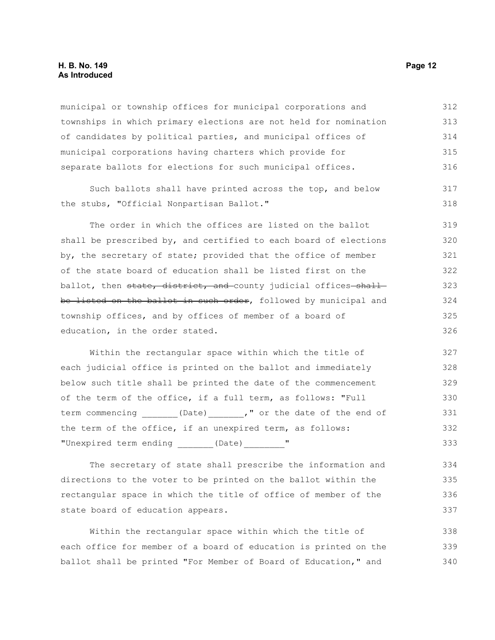#### **H. B. No. 149 Page 12 As Introduced**

municipal or township offices for municipal corporations and townships in which primary elections are not held for nomination of candidates by political parties, and municipal offices of municipal corporations having charters which provide for separate ballots for elections for such municipal offices. 312 313 314 315 316

Such ballots shall have printed across the top, and below the stubs, "Official Nonpartisan Ballot."

The order in which the offices are listed on the ballot shall be prescribed by, and certified to each board of elections by, the secretary of state; provided that the office of member of the state board of education shall be listed first on the ballot, then state, district, and county judicial offices-shallbe listed on the ballot in such order, followed by municipal and township offices, and by offices of member of a board of education, in the order stated. 319 320 321 322 323 324 325 326

Within the rectangular space within which the title of each judicial office is printed on the ballot and immediately below such title shall be printed the date of the commencement of the term of the office, if a full term, as follows: "Full term commencing \_\_\_\_\_\_(Date) \_\_\_\_\_\_," or the date of the end of the term of the office, if an unexpired term, as follows: "Unexpired term ending (Date) " 327 328 329 330 331 332 333

The secretary of state shall prescribe the information and directions to the voter to be printed on the ballot within the rectangular space in which the title of office of member of the state board of education appears.

Within the rectangular space within which the title of each office for member of a board of education is printed on the ballot shall be printed "For Member of Board of Education," and 338 339 340

317 318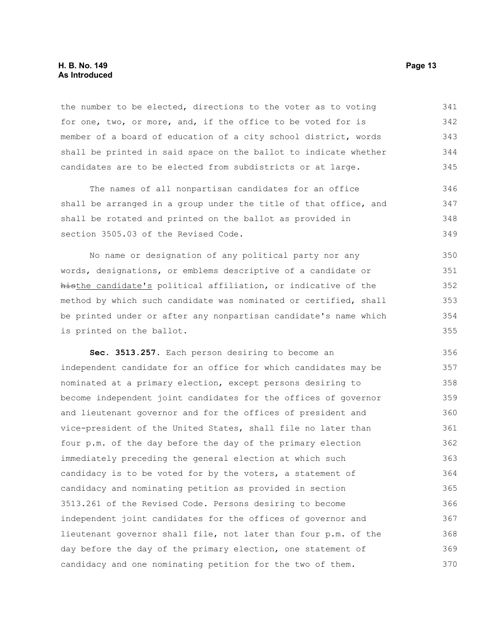#### **H. B. No. 149 Page 13 As Introduced**

the number to be elected, directions to the voter as to voting for one, two, or more, and, if the office to be voted for is member of a board of education of a city school district, words shall be printed in said space on the ballot to indicate whether candidates are to be elected from subdistricts or at large. 341 342 343 344 345

The names of all nonpartisan candidates for an office shall be arranged in a group under the title of that office, and shall be rotated and printed on the ballot as provided in section 3505.03 of the Revised Code. 346 347 348 349

No name or designation of any political party nor any words, designations, or emblems descriptive of a candidate or histhe candidate's political affiliation, or indicative of the method by which such candidate was nominated or certified, shall be printed under or after any nonpartisan candidate's name which is printed on the ballot. 350 351 352 353 354 355

**Sec. 3513.257.** Each person desiring to become an independent candidate for an office for which candidates may be nominated at a primary election, except persons desiring to become independent joint candidates for the offices of governor and lieutenant governor and for the offices of president and vice-president of the United States, shall file no later than four p.m. of the day before the day of the primary election immediately preceding the general election at which such candidacy is to be voted for by the voters, a statement of candidacy and nominating petition as provided in section 3513.261 of the Revised Code. Persons desiring to become independent joint candidates for the offices of governor and lieutenant governor shall file, not later than four p.m. of the day before the day of the primary election, one statement of candidacy and one nominating petition for the two of them. 356 357 358 359 360 361 362 363 364 365 366 367 368 369 370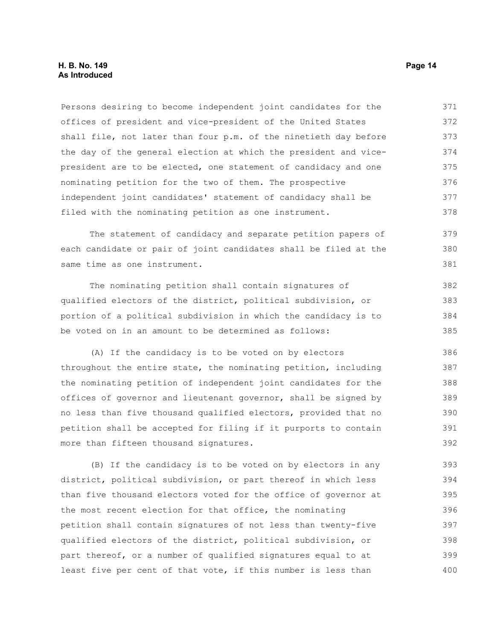#### **H. B. No. 149 Page 14 As Introduced**

Persons desiring to become independent joint candidates for the offices of president and vice-president of the United States shall file, not later than four p.m. of the ninetieth day before the day of the general election at which the president and vicepresident are to be elected, one statement of candidacy and one nominating petition for the two of them. The prospective independent joint candidates' statement of candidacy shall be filed with the nominating petition as one instrument. 371 372 373 374 375 376 377 378

The statement of candidacy and separate petition papers of each candidate or pair of joint candidates shall be filed at the same time as one instrument. 379 380 381

The nominating petition shall contain signatures of qualified electors of the district, political subdivision, or portion of a political subdivision in which the candidacy is to be voted on in an amount to be determined as follows:

(A) If the candidacy is to be voted on by electors throughout the entire state, the nominating petition, including the nominating petition of independent joint candidates for the offices of governor and lieutenant governor, shall be signed by no less than five thousand qualified electors, provided that no petition shall be accepted for filing if it purports to contain more than fifteen thousand signatures. 386 387 388 389 390 391 392

(B) If the candidacy is to be voted on by electors in any district, political subdivision, or part thereof in which less than five thousand electors voted for the office of governor at the most recent election for that office, the nominating petition shall contain signatures of not less than twenty-five qualified electors of the district, political subdivision, or part thereof, or a number of qualified signatures equal to at least five per cent of that vote, if this number is less than 393 394 395 396 397 398 399 400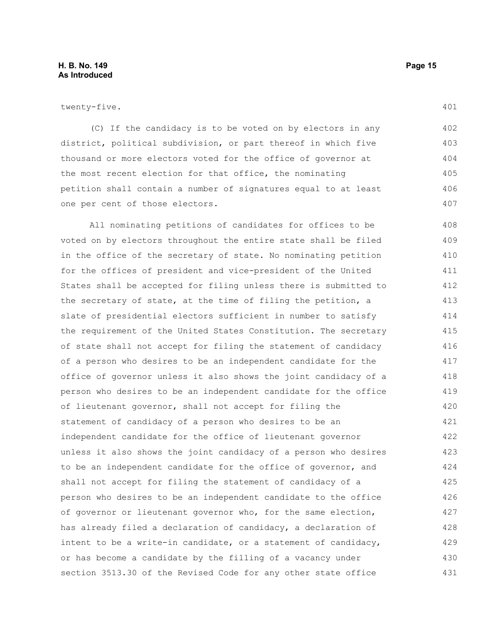twenty-five.

(C) If the candidacy is to be voted on by electors in any district, political subdivision, or part thereof in which five thousand or more electors voted for the office of governor at the most recent election for that office, the nominating petition shall contain a number of signatures equal to at least one per cent of those electors.

All nominating petitions of candidates for offices to be voted on by electors throughout the entire state shall be filed in the office of the secretary of state. No nominating petition for the offices of president and vice-president of the United States shall be accepted for filing unless there is submitted to the secretary of state, at the time of filing the petition, a slate of presidential electors sufficient in number to satisfy the requirement of the United States Constitution. The secretary of state shall not accept for filing the statement of candidacy of a person who desires to be an independent candidate for the office of governor unless it also shows the joint candidacy of a person who desires to be an independent candidate for the office of lieutenant governor, shall not accept for filing the statement of candidacy of a person who desires to be an independent candidate for the office of lieutenant governor unless it also shows the joint candidacy of a person who desires to be an independent candidate for the office of governor, and shall not accept for filing the statement of candidacy of a person who desires to be an independent candidate to the office of governor or lieutenant governor who, for the same election, has already filed a declaration of candidacy, a declaration of intent to be a write-in candidate, or a statement of candidacy, or has become a candidate by the filling of a vacancy under section 3513.30 of the Revised Code for any other state office 408 409 410 411 412 413 414 415 416 417 418 419 420 421 422 423 424 425 426 427 428 429 430 431

401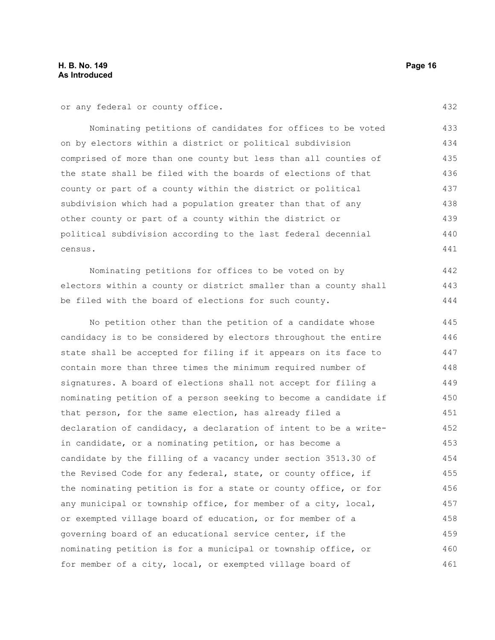or any federal or county office.

Nominating petitions of candidates for offices to be voted on by electors within a district or political subdivision comprised of more than one county but less than all counties of the state shall be filed with the boards of elections of that county or part of a county within the district or political subdivision which had a population greater than that of any other county or part of a county within the district or political subdivision according to the last federal decennial census. 433 434 435 436 437 438 439 440 441

Nominating petitions for offices to be voted on by electors within a county or district smaller than a county shall be filed with the board of elections for such county. 442 443 444

No petition other than the petition of a candidate whose candidacy is to be considered by electors throughout the entire state shall be accepted for filing if it appears on its face to contain more than three times the minimum required number of signatures. A board of elections shall not accept for filing a nominating petition of a person seeking to become a candidate if that person, for the same election, has already filed a declaration of candidacy, a declaration of intent to be a writein candidate, or a nominating petition, or has become a candidate by the filling of a vacancy under section 3513.30 of the Revised Code for any federal, state, or county office, if the nominating petition is for a state or county office, or for any municipal or township office, for member of a city, local, or exempted village board of education, or for member of a governing board of an educational service center, if the nominating petition is for a municipal or township office, or for member of a city, local, or exempted village board of 445 446 447 448 449 450 451 452 453 454 455 456 457 458 459 460 461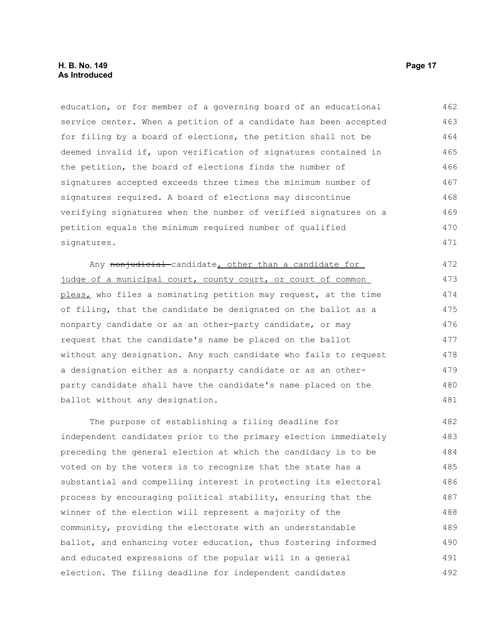#### **H. B. No. 149 Page 17 As Introduced**

education, or for member of a governing board of an educational service center. When a petition of a candidate has been accepted for filing by a board of elections, the petition shall not be deemed invalid if, upon verification of signatures contained in the petition, the board of elections finds the number of signatures accepted exceeds three times the minimum number of signatures required. A board of elections may discontinue verifying signatures when the number of verified signatures on a petition equals the minimum required number of qualified signatures. 462 463 464 465 466 467 468 469 470 471

Any nonjudicial candidate, other than a candidate for judge of a municipal court, county court, or court of common pleas, who files a nominating petition may request, at the time of filing, that the candidate be designated on the ballot as a nonparty candidate or as an other-party candidate, or may request that the candidate's name be placed on the ballot without any designation. Any such candidate who fails to request a designation either as a nonparty candidate or as an otherparty candidate shall have the candidate's name placed on the ballot without any designation. 472 473 474 475 476 477 478 479 480 481

The purpose of establishing a filing deadline for independent candidates prior to the primary election immediately preceding the general election at which the candidacy is to be voted on by the voters is to recognize that the state has a substantial and compelling interest in protecting its electoral process by encouraging political stability, ensuring that the winner of the election will represent a majority of the community, providing the electorate with an understandable ballot, and enhancing voter education, thus fostering informed and educated expressions of the popular will in a general election. The filing deadline for independent candidates 482 483 484 485 486 487 488 489 490 491 492